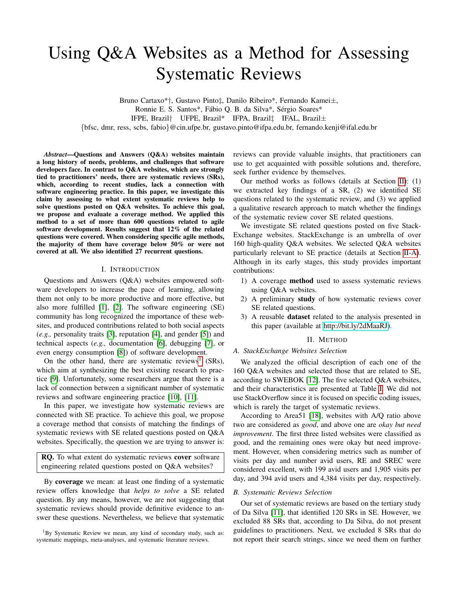# Using Q&A Websites as a Method for Assessing Systematic Reviews

Bruno Cartaxo\*†, Gustavo Pinto‡, Danilo Ribeiro\*, Fernando Kamei±, Ronnie E. S. Santos\*, Fábio Q. B. da Silva\*, Sérgio Soares\* IFPE, Brazil† UFPE, Brazil\* IFPA, Brazil‡ IFAL, Brazil± {bfsc, dmr, ress, scbs, fabio}@cin.ufpe.br, gustavo.pinto@ifpa.edu.br, fernando.kenji@ifal.edu.br

*Abstract*—Questions and Answers (Q&A) websites maintain a long history of needs, problems, and challenges that software developers face. In contrast to Q&A websites, which are strongly tied to practitioners' needs, there are systematic reviews (SRs), which, according to recent studies, lack a connection with software engineering practice. In this paper, we investigate this claim by assessing to what extent systematic reviews help to solve questions posted on Q&A websites. To achieve this goal, we propose and evaluate a coverage method. We applied this method to a set of more than 600 questions related to agile software development. Results suggest that 12% of the related questions were covered. When considering specific agile methods, the majority of them have coverage below 50% or were not covered at all. We also identified 27 recurrent questions.

### I. INTRODUCTION

Questions and Answers (Q&A) websites empowered software developers to increase the pace of learning, allowing them not only to be more productive and more effective, but also more fulfilled [\[1\]](#page-4-0), [\[2\]](#page-4-1). The software engineering (SE) community has long recognized the importance of these websites, and produced contributions related to both social aspects (*e.g.,* personality traits [\[3\]](#page-4-2), reputation [\[4\]](#page-4-3), and gender [\[5\]](#page-4-4)) and technical aspects (*e.g.,* documentation [\[6\]](#page-4-5), debugging [\[7\]](#page-4-6), or even energy consumption [\[8\]](#page-4-7)) of software development.

On the other hand, there are systematic reviews<sup>[1](#page-0-0)</sup> (SRs), which aim at synthesizing the best existing research to practice [\[9\]](#page-4-8). Unfortunately, some researchers argue that there is a lack of connection between a significant number of systematic reviews and software engineering practice [\[10\]](#page-4-9), [\[11\]](#page-4-10).

In this paper, we investigate how systematic reviews are connected with SE practice. To achieve this goal, we propose a coverage method that consists of matching the findings of systematic reviews with SE related questions posted on Q&A websites. Specifically, the question we are trying to answer is:

RQ. To what extent do systematic reviews cover software engineering related questions posted on Q&A websites?

By coverage we mean: at least one finding of a systematic review offers knowledge that *helps to solve* a SE related question. By any means, however, we are not suggesting that systematic reviews should provide definitive evidence to answer these questions. Nevertheless, we believe that systematic

<span id="page-0-0"></span><sup>1</sup>By Systematic Review we mean, any kind of secondary study, such as: systematic mappings, meta-analyses, and systematic literature reviews.

reviews can provide valuable insights, that practitioners can use to get acquainted with possible solutions and, therefore, seek further evidence by themselves.

Our method works as follows (details at Section [II\)](#page-0-1): (1) we extracted key findings of a SR, (2) we identified SE questions related to the systematic review, and (3) we applied a qualitative research approach to match whether the findings of the systematic review cover SE related questions.

We investigate SE related questions posted on five Stack-Exchange websites. StackExchange is an umbrella of over 160 high-quality Q&A websites. We selected Q&A websites particularly relevant to SE practice (details at Section [II-A\)](#page-0-2). Although in its early stages, this study provides important contributions:

- 1) A coverage method used to assess systematic reviews using Q&A websites.
- 2) A preliminary study of how systematic reviews cover SE related questions.
- 3) A reusable dataset related to the analysis presented in this paper (available at [http://bit.ly/2dMaaRJ\)](http://bit.ly/2dMaaRJ).

### II. METHOD

## <span id="page-0-2"></span><span id="page-0-1"></span>*A. StackExchange Websites Selection*

We analyzed the official description of each one of the 160 Q&A websites and selected those that are related to SE, according to SWEBOK [\[12\]](#page-4-11). The five selected Q&A websites, and their characteristics are presented at Table [I.](#page-1-0) We did not use StackOverflow since it is focused on specific coding issues, which is rarely the target of systematic reviews.

According to Area51 [\[18\]](#page-4-12), websites with A/Q ratio above two are considered as *good*, and above one are *okay but need improvement*. The first three listed websites were classified as good, and the remaining ones were okay but need improvement. However, when considering metrics such as number of visits per day and number avid users, RE and SREC were considered excellent, with 199 avid users and 1,905 visits per day, and 394 avid users and 4,384 visits per day, respectively.

### *B. Systematic Reviews Selection*

Our set of systematic reviews are based on the tertiary study of Da Silva [\[11\]](#page-4-10), that identified 120 SRs in SE. However, we excluded 88 SRs that, according to Da Silva, do not present guidelines to practitioners. Next, we excluded 8 SRs that do not report their search strings, since we need them on further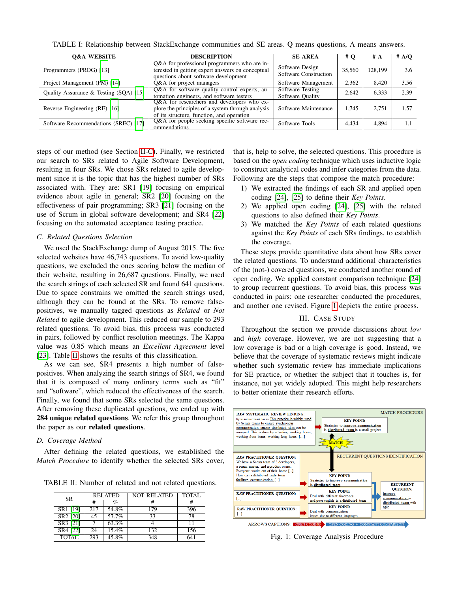TABLE I: Relationship between StackExchange communities and SE areas. Q means questions, A means answers.

<span id="page-1-0"></span>

| <b>O&amp;A WEBSITE</b>                 | <b>DESCRIPTION</b>                                                                                                                           |                                          | # O    | # A     | # A/Q |
|----------------------------------------|----------------------------------------------------------------------------------------------------------------------------------------------|------------------------------------------|--------|---------|-------|
| Programmers (PROG) [13]                | Q&A for professional programmers who are in-<br>terested in getting expert answers on conceptual<br>questions about software development     | Software Design<br>Software Construction | 35,560 | 128,199 | 3.6   |
| Project Management (PM) [14]           | Q&A for project managers                                                                                                                     | Software Management                      | 2,362  | 8.420   | 3.56  |
| Quality Assurance & Testing (SQA) [15] | Q&A for software quality control experts, au-<br>tomation engineers, and software testers                                                    | Software Testing<br>Software Quality     | 2.642  | 6,333   | 2.39  |
| Reverse Engineering (RE) [16]          | Q&A for researchers and developers who ex-<br>plore the principles of a system through analysis<br>of its structure, function, and operation | Software Maintenance                     | 1.745  | 2.751   | 1.57  |
| Software Recommendations (SREC) [17]   | Q&A for people seeking specific software rec-<br>ommendations                                                                                | Software Tools                           | 4.434  | 4.894   |       |

steps of our method (see Section [II-C\)](#page-1-1). Finally, we restricted our search to SRs related to Agile Software Development, resulting in four SRs. We chose SRs related to agile development since it is the topic that has the highest number of SRs associated with. They are: SR1 [\[19\]](#page-4-18) focusing on empirical evidence about agile in general; SR2 [\[20\]](#page-4-19) focusing on the effectiveness of pair programming; SR3 [\[21\]](#page-4-20) focusing on the use of Scrum in global software development; and SR4 [\[22\]](#page-4-21) focusing on the automated acceptance testing practice.

## <span id="page-1-1"></span>*C. Related Questions Selection*

We used the StackExchange dump of August 2015. The five selected websites have 46,743 questions. To avoid low-quality questions, we excluded the ones scoring below the median of their website, resulting in 26,687 questions. Finally, we used the search strings of each selected SR and found 641 questions. Due to space constrains we omitted the search strings used, although they can be found at the SRs. To remove falsepositives, we manually tagged questions as *Related* or *Not Related* to agile development. This reduced our sample to 293 related questions. To avoid bias, this process was conducted in pairs, followed by conflict resolution meetings. The Kappa value was 0.85 which means an *Excellent Agreement* level [\[23\]](#page-4-22). Table [II](#page-1-2) shows the results of this classification.

As we can see, SR4 presents a high number of falsepositives. When analyzing the search strings of SR4, we found that it is composed of many ordinary terms such as "fit" and "software", which reduced the effectiveness of the search. Finally, we found that some SRs selected the same questions. After removing these duplicated questions, we ended up with 284 unique related questions. We refer this group throughout the paper as our related questions.

# *D. Coverage Method*

After defining the related questions, we established the *Match Procedure* to identify whether the selected SRs cover,

<span id="page-1-2"></span>TABLE II: Number of related and not related questions.

| SR.                  | <b>RELATED</b> |       | <b>NOT RELATED</b> | <b>TOTAL</b> |  |
|----------------------|----------------|-------|--------------------|--------------|--|
|                      | #              | %     |                    | #            |  |
| SR <sub>1</sub> [19] | 217            | 54.8% | 179                | 396          |  |
| SR <sub>2</sub> [20] | 45             | 57.7% | 33                 | 78           |  |
| SR3 [21]             |                | 63.3% |                    | 11           |  |
| SR4 [22]             | 24             | 15.4% | 132                | 156          |  |
| <b>TOTAL</b>         | 293            | 45.8% | 348                | 641          |  |

that is, help to solve, the selected questions. This procedure is based on the *open coding* technique which uses inductive logic to construct analytical codes and infer categories from the data. Following are the steps that compose the match procedure:

- 1) We extracted the findings of each SR and applied open coding [\[24\]](#page-4-23), [\[25\]](#page-4-24) to define their *Key Points*.
- 2) We applied open coding [\[24\]](#page-4-23), [\[25\]](#page-4-24) with the related questions to also defined their *Key Points*.
- 3) We matched the *Key Points* of each related questions against the *Key Points* of each SRs findings, to establish the coverage.

These steps provide quantitative data about how SRs cover the related questions. To understand additional characteristics of the (not-) covered questions, we conducted another round of open coding. We applied constant comparison technique [\[24\]](#page-4-23) to group recurrent questions. To avoid bias, this process was conducted in pairs: one researcher conducted the procedures, and another one revised. Figure [1](#page-1-3) depicts the entire process.

# III. CASE STUDY

Throughout the section we provide discussions about *low* and *high* coverage. However, we are not suggesting that a low coverage is bad or a high coverage is good. Instead, we believe that the coverage of systematic reviews might indicate whether such systematic review has immediate implications for SE practice, or whether the subject that it touches is, for instance, not yet widely adopted. This might help researchers to better orientate their research efforts.

<span id="page-1-3"></span>

Fig. 1: Coverage Analysis Procedure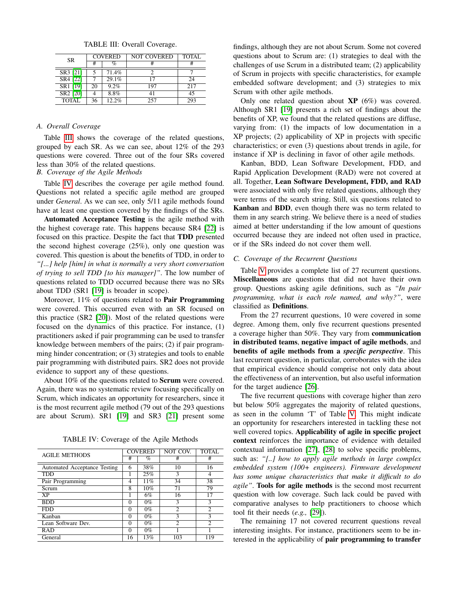<span id="page-2-0"></span>

| <b>SR</b>            | <b>COVERED</b> |       | <b>NOT COVERED</b> | <b>TOTAL</b> |  |
|----------------------|----------------|-------|--------------------|--------------|--|
|                      | #              | $\%$  |                    |              |  |
| SR3 [21]             |                | 71.4% |                    |              |  |
| SR4 [22]             |                | 29.1% | 17                 | 24           |  |
| SR1 [19]             | 20             | 9.2%  | 197                | 217          |  |
| SR <sub>2</sub> [20] |                | 8.8%  | 41                 | 45           |  |
| <b>TOTAL</b>         | 36             | 12.2% | 257                | 293          |  |

TABLE III: Overall Coverage.

## *A. Overall Coverage*

Table [III](#page-2-0) shows the coverage of the related questions, grouped by each SR. As we can see, about 12% of the 293 questions were covered. Three out of the four SRs covered less than 30% of the related questions.

*B. Coverage of the Agile Methods*

Table [IV](#page-2-1) describes the coverage per agile method found. Questions not related a specific agile method are grouped under *General*. As we can see, only 5/11 agile methods found have at least one question covered by the findings of the SRs.

Automated Acceptance Testing is the agile method with the highest coverage rate. This happens because SR4 [\[22\]](#page-4-21) is focused on this practice. Despite the fact that TDD presented the second highest coverage (25%), only one question was covered. This question is about the benefits of TDD, in order to *"[...] help [him] in what is normally a very short conversation of trying to sell TDD [to his manager]"*. The low number of questions related to TDD occurred because there was no SRs about TDD (SR1 [\[19\]](#page-4-18) is broader in scope).

Moreover, 11% of questions related to Pair Programming were covered. This occurred even with an SR focused on this practice (SR2 [\[20\]](#page-4-19)). Most of the related questions were focused on the dynamics of this practice. For instance, (1) practitioners asked if pair programming can be used to transfer knowledge between members of the pairs; (2) if pair programming hinder concentration; or (3) strategies and tools to enable pair programming with distributed pairs. SR2 does not provide evidence to support any of these questions.

About 10% of the questions related to Scrum were covered. Again, there was no systematic review focusing specifically on Scrum, which indicates an opportunity for researchers, since it is the most recurrent agile method (79 out of the 293 questions are about Scrum). SR1 [\[19\]](#page-4-18) and SR3 [\[21\]](#page-4-20) present some

TABLE IV: Coverage of the Agile Methods

<span id="page-2-1"></span>

| <b>AGILE METHODS</b>         |    | <b>COVERED</b> | NOT COV. | <b>TOTAL</b> |
|------------------------------|----|----------------|----------|--------------|
|                              |    | %              | #        | #            |
| Automated Acceptance Testing | 6  | 38%            | 10       | 16           |
| <b>TDD</b>                   |    | 25%            | 3        | 4            |
| Pair Programming             | 4  | 11%            | 34       | 38           |
| Scrum                        | 8  | 10%            | 71       | 79           |
| <b>XP</b>                    |    | 6%             | 16       | 17           |
| <b>BDD</b>                   | 0  | $0\%$          | 3        | 3            |
| <b>FDD</b>                   | 0  | $0\%$          | 2        | 2            |
| Kanban                       | 0  | $0\%$          | 3        | $\mathbf{3}$ |
| Lean Software Dev.           | 0  | $0\%$          | 2        | 2            |
| <b>RAD</b>                   | 0  | $0\%$          |          |              |
| General                      | 16 | 13%            | 103      | 119          |

findings, although they are not about Scrum. Some not covered questions about to Scrum are: (1) strategies to deal with the challenges of use Scrum in a distributed team; (2) applicability of Scrum in projects with specific characteristics, for example embedded software development; and (3) strategies to mix Scrum with other agile methods.

Only one related question about  $XP(6\%)$  was covered. Although SR1 [\[19\]](#page-4-18) presents a rich set of findings about the benefits of XP, we found that the related questions are diffuse, varying from: (1) the impacts of low documentation in a XP projects; (2) applicability of XP in projects with specific characteristics; or even (3) questions about trends in agile, for instance if XP is declining in favor of other agile methods.

Kanban, BDD, Lean Software Development, FDD, and Rapid Application Development (RAD) were not covered at all. Together, Lean Software Development, FDD, and RAD were associated with only five related questions, although they were terms of the search string. Still, six questions related to Kanban and BDD, even though there was no term related to them in any search string. We believe there is a need of studies aimed at better understanding if the low amount of questions occurred because they are indeed not often used in practice, or if the SRs indeed do not cover them well.

# *C. Coverage of the Recurrent Questions*

Table [V](#page-3-0) provides a complete list of 27 recurrent questions. Miscellaneous are questions that did not have their own group. Questions asking agile definitions, such as *"In pair programming, what is each role named, and why?"*, were classified as Definitions.

From the 27 recurrent questions, 10 were covered in some degree. Among them, only five recurrent questions presented a coverage higher than 50%. They vary from communication in distributed teams, negative impact of agile methods, and benefits of agile methods from a *specific perspective*. This last recurrent question, in particular, corroborates with the idea that empirical evidence should comprise not only data about the effectiveness of an intervention, but also useful information for the target audience [\[26\]](#page-4-25).

The five recurrent questions with coverage higher than zero but below 50% aggregates the majority of related questions, as seen in the column 'T' of Table [V.](#page-3-0) This might indicate an opportunity for researchers interested in tackling these not well covered topics. Applicability of agile in specific project context reinforces the importance of evidence with detailed contextual information [\[27\]](#page-4-26), [\[28\]](#page-4-27) to solve specific problems, such as: *"[..] how to apply agile methods in large complex embedded system (100+ engineers). Firmware development has some unique characteristics that make it difficult to do agile"*. Tools for agile methods is the second most recurrent question with low coverage. Such lack could be paved with comparative analyses to help practitioners to choose which tool fit their needs (*e.g.,* [\[29\]](#page-4-28)).

The remaining 17 not covered recurrent questions reveal interesting insights. For instance, practitioners seem to be interested in the applicability of pair programming to transfer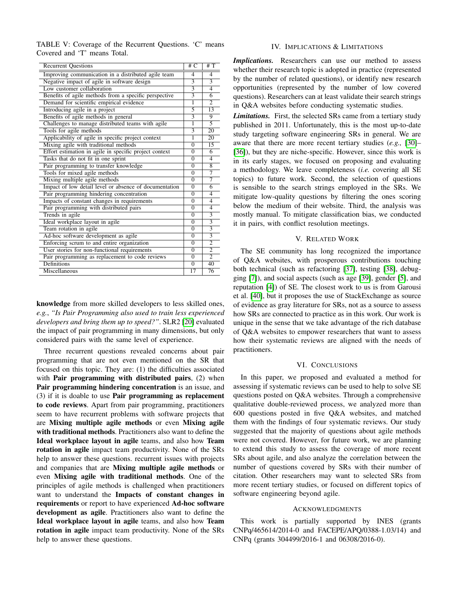<span id="page-3-0"></span>TABLE V: Coverage of the Recurrent Questions. 'C' means Covered and 'T' means Total.

| <b>Recurrent Ouestions</b>                             | # $C$    | #T                      |
|--------------------------------------------------------|----------|-------------------------|
| Improving communication in a distributed agile team    | 4        | 4                       |
| Negative impact of agile in software design            |          | $\overline{\mathbf{3}}$ |
| Low customer collaboration                             |          | $\overline{4}$          |
| Benefits of agile methods from a specific perspective  |          | 6                       |
| Demand for scientific empirical evidence               |          | $\overline{c}$          |
| Introducing agile in a project                         | 5        | 13                      |
| Benefits of agile methods in general                   | 3        | 9                       |
| Challenges to manage distributed teams with agile      | 1        | 5                       |
| Tools for agile methods                                | 3        | 20                      |
| Applicability of agile in specific project context     | 1        | 20                      |
| Mixing agile with traditional methods                  | $\Omega$ | 15                      |
| Effort estimation in agile in specific project context | $\theta$ | 6                       |
| Tasks that do not fit in one sprint                    |          | $\overline{4}$          |
| Pair programming to transfer knowledge                 | $\Omega$ | 8                       |
| Tools for mixed agile methods                          |          | 7                       |
| Mixing multiple agile methods                          |          | 7                       |
| Impact of low detail level or absence of documentation |          | $\overline{6}$          |
| Pair programming hindering concentration               |          | $\overline{4}$          |
| Impacts of constant changes in requirements            |          | 4                       |
| Pair programming with distributed pairs                |          | $\overline{4}$          |
| Trends in agile                                        |          | $\overline{3}$          |
| Ideal workplace layout in agile                        |          | $\overline{3}$          |
| Team rotation in agile                                 |          | $\overline{3}$          |
| Ad-hoc software development as agile                   |          | $\overline{3}$          |
| Enforcing scrum to and entire organization             |          | $\overline{2}$          |
| User stories for non-functional requirements           |          | $\overline{2}$          |
| Pair programming as replacement to code reviews        |          | $\overline{2}$          |
| Definitions                                            |          | 40                      |
| Miscellaneous                                          | 17       | 76                      |

knowledge from more skilled developers to less skilled ones, *e.g.*, *"Is Pair Programming also used to train less experienced developers and bring them up to speed?"*. SLR2 [\[20\]](#page-4-19) evaluated the impact of pair programming in many dimensions, but only considered pairs with the same level of experience.

Three recurrent questions revealed concerns about pair programming that are not even mentioned on the SR that focused on this topic. They are: (1) the difficulties associated with **Pair programming with distributed pairs**, (2) when Pair programming hindering concentration is an issue, and (3) if it is doable to use Pair programming as replacement to code reviews. Apart from pair programming, practitioners seem to have recurrent problems with software projects that are Mixing multiple agile methods or even Mixing agile with traditional methods. Practitioners also want to define the Ideal workplace layout in agile teams, and also how Team rotation in agile impact team productivity. None of the SRs help to answer these questions. recurrent issues with projects and companies that are Mixing multiple agile methods or even Mixing agile with traditional methods. One of the principles of agile methods is challenged when practitioners want to understand the Impacts of constant changes in requirements or report to have experienced Ad-hoc software development as agile. Practitioners also want to define the Ideal workplace layout in agile teams, and also how Team rotation in agile impact team productivity. None of the SRs help to answer these questions.

## IV. IMPLICATIONS & LIMITATIONS

*Implications.* Researchers can use our method to assess whether their research topic is adopted in practice (represented by the number of related questions), or identify new research opportunities (represented by the number of low covered questions). Researchers can at least validate their search strings in Q&A websites before conducting systematic studies.

*Limitations.* First, the selected SRs came from a tertiary study published in 2011. Unfortunately, this is the most up-to-date study targeting software engineering SRs in general. We are aware that there are more recent tertiary studies (*e.g.,* [\[30\]](#page-4-29)– [\[36\]](#page-4-30)), but they are niche-specific. However, since this work is in its early stages, we focused on proposing and evaluating a methodology. We leave completeness (*i.e.* covering all SE topics) to future work. Second, the selection of questions is sensible to the search strings employed in the SRs. We mitigate low-quality questions by filtering the ones scoring below the medium of their website. Third, the analysis was mostly manual. To mitigate classification bias, we conducted it in pairs, with conflict resolution meetings.

## V. RELATED WORK

The SE community has long recognized the importance of Q&A websites, with prosperous contributions touching both technical (such as refactoring [\[37\]](#page-4-31), testing [\[38\]](#page-4-32), debugging [\[7\]](#page-4-6)), and social aspects (such as age [\[39\]](#page-4-33), gender [\[5\]](#page-4-4), and reputation [\[4\]](#page-4-3)) of SE. The closest work to us is from Garousi et al. [\[40\]](#page-4-34), but it proposes the use of StackExchange as source of evidence as gray literature for SRs, not as a source to assess how SRs are connected to practice as in this work. Our work is unique in the sense that we take advantage of the rich database of Q&A websites to empower researchers that want to assess how their systematic reviews are aligned with the needs of practitioners.

#### VI. CONCLUSIONS

In this paper, we proposed and evaluated a method for assessing if systematic reviews can be used to help to solve SE questions posted on Q&A websites. Through a comprehensive qualitative double-reviewed process, we analyzed more than 600 questions posted in five Q&A websites, and matched them with the findings of four systematic reviews. Our study suggested that the majority of questions about agile methods were not covered. However, for future work, we are planning to extend this study to assess the coverage of more recent SRs about agile, and also analyze the correlation between the number of questions covered by SRs with their number of citation. Other researchers may want to selected SRs from more recent tertiary studies, or focused on different topics of software engineering beyond agile.

#### ACKNOWLEDGMENTS

This work is partially supported by INES (grants CNPq/465614/2014-0 and FACEPE/APQ/0388-1.03/14) and CNPq (grants 304499/2016-1 and 06308/2016-0).